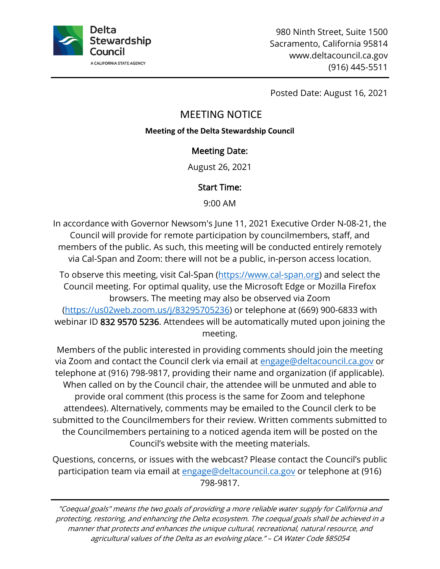

Posted Date: August 16, 2021

# MEETING NOTICE

#### **Meeting of the Delta Stewardship Council**

## Meeting Date:

August 26, 2021

## Start Time:

9:00 AM

In accordance with Governor Newsom's June 11, 2021 Executive Order N-08-21, the Council will provide for remote participation by councilmembers, staff, and members of the public. As such, this meeting will be conducted entirely remotely via Cal-Span and Zoom: there will not be a public, in-person access location.

To observe this meeting, visit Cal-Span [\(https://www.cal-span.org\)](https://www.cal-span.org/) and select the Council meeting. For optimal quality, use the Microsoft Edge or Mozilla Firefox browsers. The meeting may also be observed via Zoom [\(https://us02web.zoom.us/j/83295705236\)](https://us02web.zoom.us/j/83295705236) or telephone at (669) 900-6833 with webinar ID 832 9570 5236. Attendees will be automatically muted upon joining the meeting.

Members of the public interested in providing comments should join the meeting via Zoom and contact the Council clerk via email at [engage@deltacouncil.ca.gov](mailto:engage@deltacouncil.ca.gov) or telephone at (916) 798-9817, providing their name and organization (if applicable). When called on by the Council chair, the attendee will be unmuted and able to provide oral comment (this process is the same for Zoom and telephone attendees). Alternatively, comments may be emailed to the Council clerk to be submitted to the Councilmembers for their review. Written comments submitted to the Councilmembers pertaining to a noticed agenda item will be posted on the Council's website with the meeting materials.

Questions, concerns, or issues with the webcast? Please contact the Council's public participation team via email at [engage@deltacouncil.ca.gov](mailto:engage@deltacouncil.ca.gov) or telephone at (916) 798-9817.

"Coequal goals" means the two goals of providing a more reliable water supply for California and protecting, restoring, and enhancing the Delta ecosystem. The coequal goals shall be achieved in a manner that protects and enhances the unique cultural, recreational, natural resource, and agricultural values of the Delta as an evolving place." – CA Water Code §85054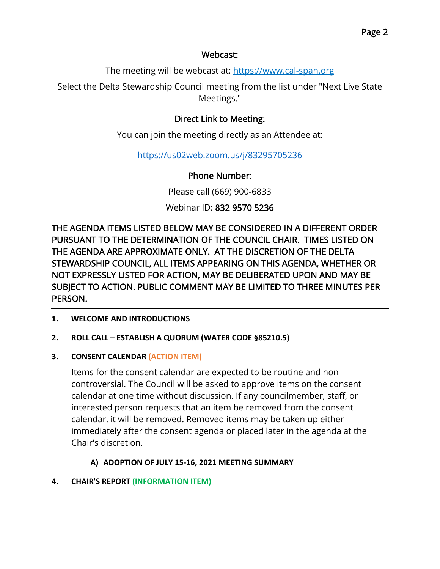## Webcast:

The meeting will be webcast at: [https://www.cal-span.org](https://www.cal-span.org/)

Select the Delta Stewardship Council meeting from the list under "Next Live State Meetings."

## Direct Link to Meeting:

You can join the meeting directly as an Attendee at:

<https://us02web.zoom.us/j/83295705236>

## Phone Number:

Please call (669) 900-6833

## Webinar ID: 832 9570 5236

THE AGENDA ITEMS LISTED BELOW MAY BE CONSIDERED IN A DIFFERENT ORDER PURSUANT TO THE DETERMINATION OF THE COUNCIL CHAIR. TIMES LISTED ON THE AGENDA ARE APPROXIMATE ONLY. AT THE DISCRETION OF THE DELTA STEWARDSHIP COUNCIL, ALL ITEMS APPEARING ON THIS AGENDA, WHETHER OR NOT EXPRESSLY LISTED FOR ACTION, MAY BE DELIBERATED UPON AND MAY BE SUBJECT TO ACTION. PUBLIC COMMENT MAY BE LIMITED TO THREE MINUTES PER PERSON.

**1. WELCOME AND INTRODUCTIONS**

#### **2. ROLL CALL – ESTABLISH A QUORUM (WATER CODE §85210.5)**

#### **3. CONSENT CALENDAR (ACTION ITEM)**

Items for the consent calendar are expected to be routine and noncontroversial. The Council will be asked to approve items on the consent calendar at one time without discussion. If any councilmember, staff, or interested person requests that an item be removed from the consent calendar, it will be removed. Removed items may be taken up either immediately after the consent agenda or placed later in the agenda at the Chair's discretion.

#### **A) ADOPTION OF JULY 15-16, 2021 MEETING SUMMARY**

#### **4. CHAIR'S REPORT (INFORMATION ITEM)**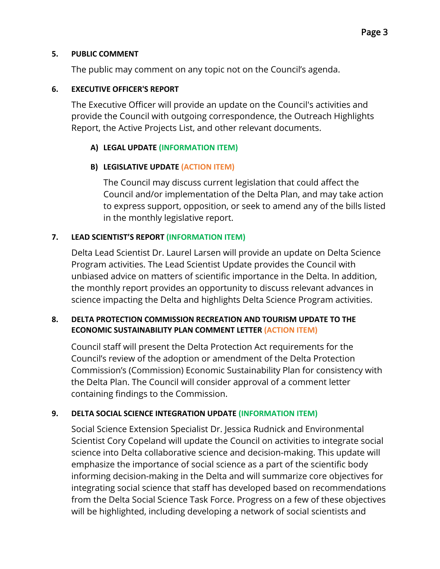#### **5. PUBLIC COMMENT**

The public may comment on any topic not on the Council's agenda.

### **6. EXECUTIVE OFFICER'S REPORT**

The Executive Officer will provide an update on the Council's activities and provide the Council with outgoing correspondence, the Outreach Highlights Report, the Active Projects List, and other relevant documents.

## **A) LEGAL UPDATE (INFORMATION ITEM)**

## **B) LEGISLATIVE UPDATE (ACTION ITEM)**

The Council may discuss current legislation that could affect the Council and/or implementation of the Delta Plan, and may take action to express support, opposition, or seek to amend any of the bills listed in the monthly legislative report.

## **7. LEAD SCIENTIST'S REPORT (INFORMATION ITEM)**

Delta Lead Scientist Dr. Laurel Larsen will provide an update on Delta Science Program activities. The Lead Scientist Update provides the Council with unbiased advice on matters of scientific importance in the Delta. In addition, the monthly report provides an opportunity to discuss relevant advances in science impacting the Delta and highlights Delta Science Program activities.

#### **8. DELTA PROTECTION COMMISSION RECREATION AND TOURISM UPDATE TO THE ECONOMIC SUSTAINABILITY PLAN COMMENT LETTER (ACTION ITEM)**

Council staff will present the Delta Protection Act requirements for the Council's review of the adoption or amendment of the Delta Protection Commission's (Commission) Economic Sustainability Plan for consistency with the Delta Plan. The Council will consider approval of a comment letter containing findings to the Commission.

#### **9. DELTA SOCIAL SCIENCE INTEGRATION UPDATE (INFORMATION ITEM)**

Social Science Extension Specialist Dr. Jessica Rudnick and Environmental Scientist Cory Copeland will update the Council on activities to integrate social science into Delta collaborative science and decision-making. This update will emphasize the importance of social science as a part of the scientific body informing decision-making in the Delta and will summarize core objectives for integrating social science that staff has developed based on recommendations from the Delta Social Science Task Force. Progress on a few of these objectives will be highlighted, including developing a network of social scientists and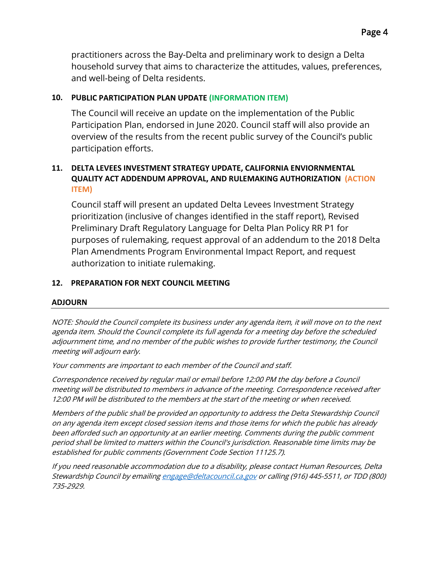practitioners across the Bay-Delta and preliminary work to design a Delta household survey that aims to characterize the attitudes, values, preferences, and well-being of Delta residents.

#### **10. PUBLIC PARTICIPATION PLAN UPDATE (INFORMATION ITEM)**

The Council will receive an update on the implementation of the Public Participation Plan, endorsed in June 2020. Council staff will also provide an overview of the results from the recent public survey of the Council's public participation efforts.

#### **11. DELTA LEVEES INVESTMENT STRATEGY UPDATE, CALIFORNIA ENVIORNMENTAL QUALITY ACT ADDENDUM APPROVAL, AND RULEMAKING AUTHORIZATION (ACTION ITEM)**

Council staff will present an updated Delta Levees Investment Strategy prioritization (inclusive of changes identified in the staff report), Revised Preliminary Draft Regulatory Language for Delta Plan Policy RR P1 for purposes of rulemaking, request approval of an addendum to the 2018 Delta Plan Amendments Program Environmental Impact Report, and request authorization to initiate rulemaking.

#### **12. PREPARATION FOR NEXT COUNCIL MEETING**

#### **ADJOURN**

NOTE: Should the Council complete its business under any agenda item, it will move on to the next agenda item. Should the Council complete its full agenda for a meeting day before the scheduled adjournment time, and no member of the public wishes to provide further testimony, the Council meeting will adjourn early.

Your comments are important to each member of the Council and staff.

Correspondence received by regular mail or email before 12:00 PM the day before a Council meeting will be distributed to members in advance of the meeting. Correspondence received after 12:00 PM will be distributed to the members at the start of the meeting or when received.

Members of the public shall be provided an opportunity to address the Delta Stewardship Council on any agenda item except closed session items and those items for which the public has already been afforded such an opportunity at an earlier meeting. Comments during the public comment period shall be limited to matters within the Council's jurisdiction. Reasonable time limits may be established for public comments (Government Code Section 11125.7).

If you need reasonable accommodation due to a disability, please contact Human Resources, Delta Stewardship Council by emailin[g engage@deltacouncil.ca.gov](mailto:engage@deltacouncil.ca.gov) or calling (916) 445-5511, or TDD (800) 735-2929.